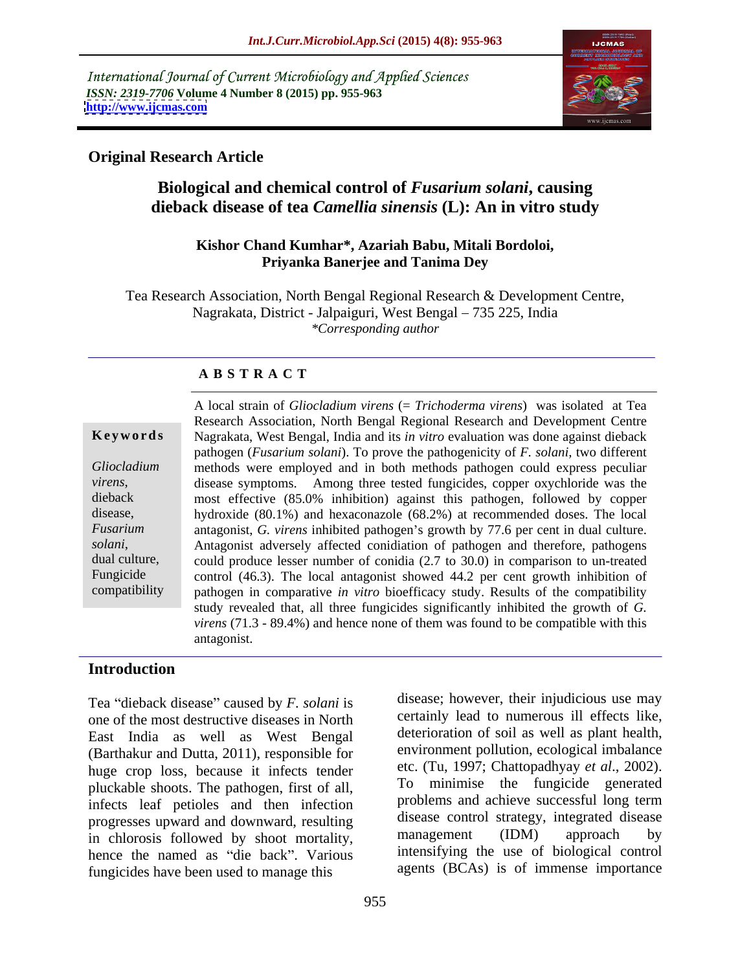International Journal of Current Microbiology and Applied Sciences *ISSN: 2319-7706* **Volume 4 Number 8 (2015) pp. 955-963 <http://www.ijcmas.com>**



### **Original Research Article**

# **Biological and chemical control of** *Fusarium solani***, causing dieback disease of tea** *Camellia sinensis* **(L): An in vitro study**

#### **Kishor Chand Kumhar\*, Azariah Babu, Mitali Bordoloi, Priyanka Banerjee and Tanima Dey**

Tea Research Association, North Bengal Regional Research & Development Centre, Nagrakata, District - Jalpaiguri, West Bengal – 735 225, India *\*Corresponding author*

### **A B S T R A C T**

compatibility

A local strain of *Gliocladium virens* (= *Trichoderma virens*) was isolated at Tea Research Association, North Bengal Regional Research and Development Centre Nagrakata, West Bengal, India and its *in vitro* evaluation was done against dieback **Ke ywo rds** pathogen (*Fusarium solani*). To prove the pathogenicity of *F. solani,* two different methods were employed and in both methods pathogen could express peculiar *Gliocladium*  disease symptoms. Among three tested fungicides, copper oxychloride was the *virens*, most effective (85.0% inhibition) against this pathogen, followed by copper dieback hydroxide (80.1%) and hexaconazole (68.2%) at recommended doses. The local disease, Fusarium antagonist, *G. virens* inhibited pathogen's growth by 77.6 per cent in dual culture. *solani*, Antagonist adversely affected conidiation of pathogen and therefore, pathogens dual culture, could produce lesser number of conidia (2.7 to 30.0) in comparison to un-treated could produce lesser number of conidia (2.7 to 30.0) in comparison to un-treated Fungicide control (46.3). The local antagonist showed 44.2 per cent growth inhibition of pathogen in comparative *in vitro* bioefficacy study. Results of the compatibility study revealed that, all three fungicides significantly inhibited the growth of *G. virens* (71.3 - 89.4%) and hence none of them was found to be compatible with this antagonist.

### **Introduction**

Tea "dieback disease" caused by *F. solani* is one of the most destructive diseases in North East India as well as West Bengal (Barthakur and Dutta, 2011), responsible for huge crop loss, because it infects tender<br>
pluckable shoots. The pathogen first of all To pluckable shoots. The pathogen, first of all, infects leaf petioles and then infection progresses upward and downward, resulting disease control strategy, integrated disease<br>in chlorosis followed by shoot mortality management (IDM) approach by in chlorosis followed by shoot mortality, hence the named as "die back". Various fungicides have been used to manage this

disease; however, their injudicious use may certainly lead to numerous ill effects like, deterioration of soil as well as plant health, environment pollution, ecological imbalance etc. (Tu, 1997; Chattopadhyay *et al*., 2002). minimise the fungicide generated problems and achieve successful long term disease control strategy, integrated disease management (IDM) approach by intensifying the use of biological control agents (BCAs) is of immense importance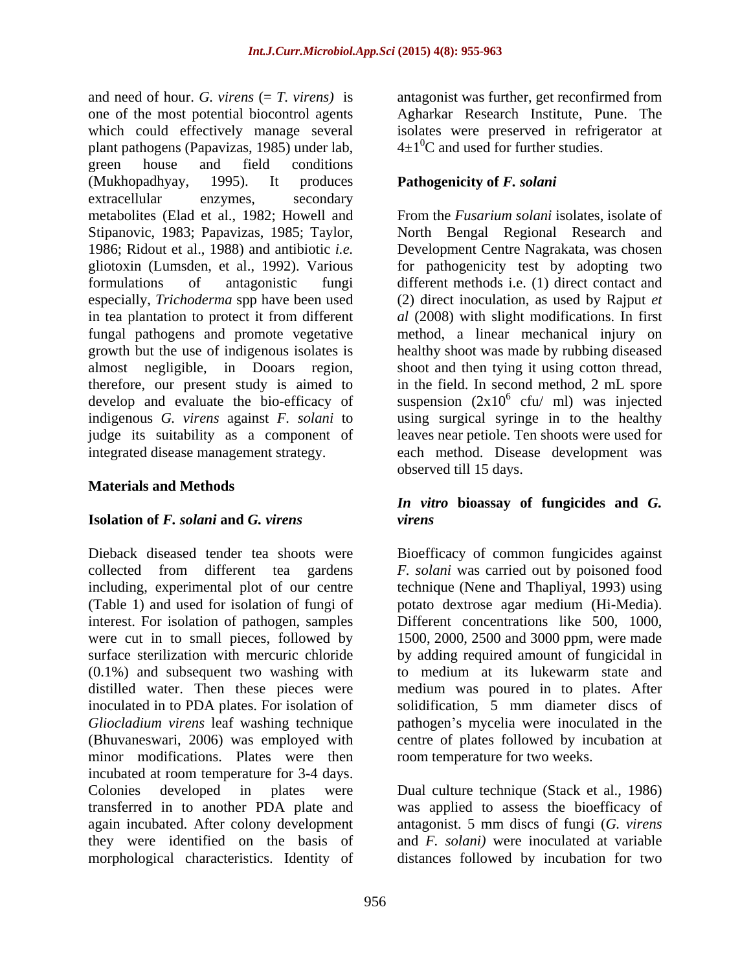and need of hour. *G. virens* (= *T. virens)* is antagonist was further, get reconfirmed from one of the most potential biocontrol agents Agharkar Research Institute, Pune. The which could effectively manage several plant pathogens (Papavizas, 1985) under lab, green house and field conditions (Mukhopadhyay, 1995). It produces **Pathogenicity of** *F. solani* extracellular enzymes, secondary metabolites (Elad et al., 1982; Howell and Stipanovic, 1983; Papavizas, 1985; Taylor, North Bengal Regional Research and 1986; Ridout et al., 1988) and antibiotic *i.e.* Development Centre Nagrakata, was chosen gliotoxin (Lumsden, et al., 1992). Various for pathogenicity test by adopting two formulations of antagonistic fungi different methods i.e. (1) direct contact and especially, *Trichoderma* spp have been used in tea plantation to protect it from different *al* (2008) with slight modifications. In first fungal pathogens and promote vegetative growth but the use of indigenous isolates is healthy shoot was made by rubbing diseased almost negligible, in Dooars region, shoot and then tying it using cotton thread, therefore, our present study is aimed to develop and evaluate the bio-efficacy of suspension  $(2x10^6 \text{ cfu/ ml})$  was injected indigenous *G. virens* against *F. solani* to using surgical syringe in to the healthy judge its suitability as a component of leaves near petiole. Ten shoots were used for integrated disease management strategy.

### **Materials and Methods**

#### **Isolation of** *F. solani* **and** *G. virens*

Dieback diseased tender tea shoots were Bioefficacy of common fungicides against collected from different tea gardens *F. solani* was carried out by poisoned food including, experimental plot of our centre technique (Nene and Thapliyal, 1993) using (Table 1) and used for isolation of fungi of potato dextrose agar medium (Hi-Media). interest. For isolation of pathogen, samples Different concentrations like 500, 1000, were cut in to small pieces, followed by 1500, 2000, 2500 and 3000 ppm, were made surface sterilization with mercuric chloride by adding required amount of fungicidal in (0.1%) and subsequent two washing with distilled water. Then these pieces were medium was poured in to plates. After inoculated in to PDA plates. For isolation of solidification, 5 mm diameter discs of *Gliocladium virens* leaf washing technique (Bhuvaneswari, 2006) was employed with centre of plates followed by incubation at minor modifications. Plates were then incubated at room temperature for 3-4 days. Colonies developed in plates were Dual culture technique (Stack et al., 1986) transferred in to another PDA plate and was applied to assess the bioefficacy of again incubated. After colony development antagonist. 5 mm discs of fungi (*G. virens* they were identified on the basis of morphological characteristics. Identity of distances followed by incubation for two

isolates were preserved in refrigerator at  $4\pm1$ <sup>o</sup>C and used for further studies.

From the *Fusarium solani* isolates, isolate of (2) direct inoculation, as used by Rajput *et*  method, a linear mechanical injury on in the field. In second method, 2 mL spore cfu/ ml) was injected each method. Disease development was observed till 15 days.

### *In vitro* **bioassay of fungicides and** *G. virens*

to medium at its lukewarm state and pathogen's mycelia were inoculated in the room temperature for two weeks.

and *F. solani)* were inoculated at variable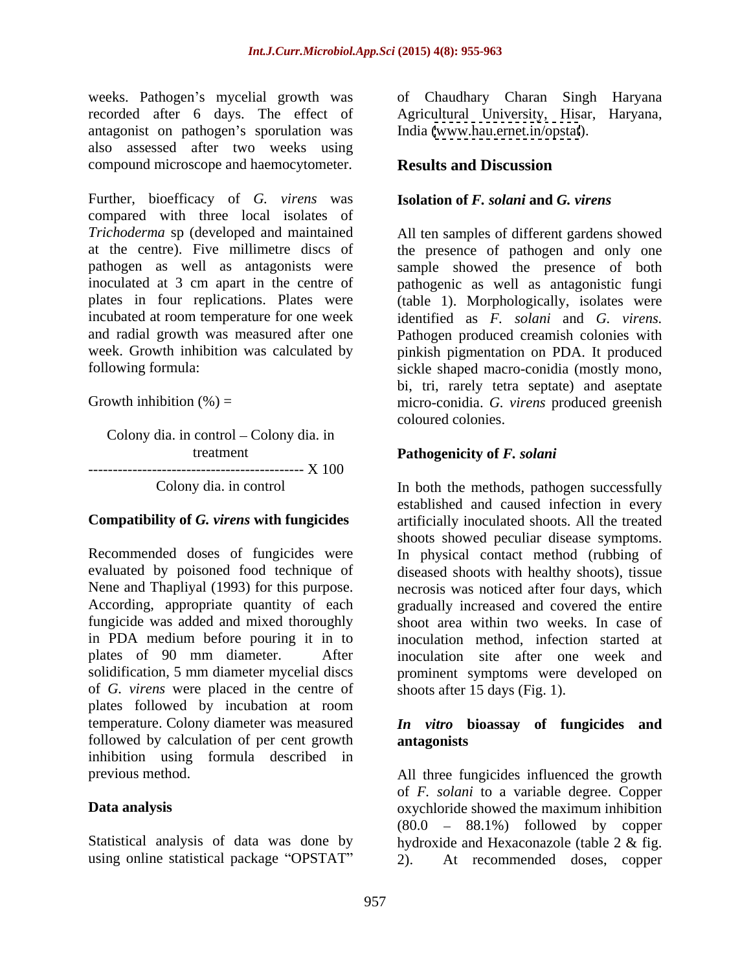recorded after 6 days. The effect of antagonist on pathogen's sporulation was also assessed after two weeks using compound microscope and haemocytometer.

Further, bioefficacy of *G. virens* was compared with three local isolates of *Trichoderma* sp (developed and maintained All ten samples of different gardens showed at the centre). Five millimetre discs of the presence of pathogen and only one pathogen as well as antagonists were sample showed the presence of both inoculated at 3 cm apart in the centre of pathogenic as well as antagonistic fungi plates in four replications. Plates were (table 1). Morphologically, isolates were incubated at room temperature for one week identified as *F. solani* and *G. virens.* and radial growth was measured after one Pathogen produced creamish colonies with week. Growth inhibition was calculated by pinkish pigmentation on PDA. It produced

Colony dia. in control – Colony dia. in -------------------------------------------- X 100

Recommended doses of fungicides were In physical contact method (rubbing of evaluated by poisoned food technique of diseased shoots with healthy shoots), tissue Nene and Thapliyal (1993) for this purpose. necrosis was noticed after four days, which According, appropriate quantity of each gradually increased and covered the entire fungicide was added and mixed thoroughly shoot area within two weeks. In case of in PDA medium before pouring it in to plates of 90 mm diameter. After inoculation site after one week and solidification, 5 mm diameter mycelial discs prominent symptoms were developed on of *G. virens* were placed in the centre of plates followed by incubation at room temperature. Colony diameter was measured *In vitro* **bioassay of fungicides and** followed by calculation of per cent growth antagonists inhibition using formula described in

using online statistical package "OPSTAT"  $2$ ).

weeks. Pathogen's mycelial growth was of Chaudhary Charan Singh Haryana Agricultural University, Hisar, Haryana, India [\(www.hau.ernet.in/opstat](http://www.hau.ernet.in/opstat)).

## **Results and Discussion**

### **Isolation of** *F. solani* **and** *G. virens*

following formula: sickle shaped macro-conidia (mostly mono, Growth inhibition  $%$  = micro-conidia. *G. virens* produced greenish bi, tri, rarely tetra septate) and aseptate coloured colonies.

### treatment **Pathogenicity of** *F. solani*

Colony dia. in control In both the methods, pathogen successfully **Compatibility of** *G. virens* **with fungicides** artificially inoculated shoots. All the treated established and caused infection in every shoots showed peculiar disease symptoms. inoculation method, infection started at inoculation site after one week and shoots after 15 days (Fig. 1).

# **antagonists**

previous method. All three fungicides influenced the growth **Data analysis**  oxychloride showed the maximum inhibition Statistical analysis of data was done by hydroxide and Hexaconazole (table 2 & fig. of *F. solani* to a variable degree. Copper  $(80.0 - 88.1%)$  followed by copper At recommended doses, copper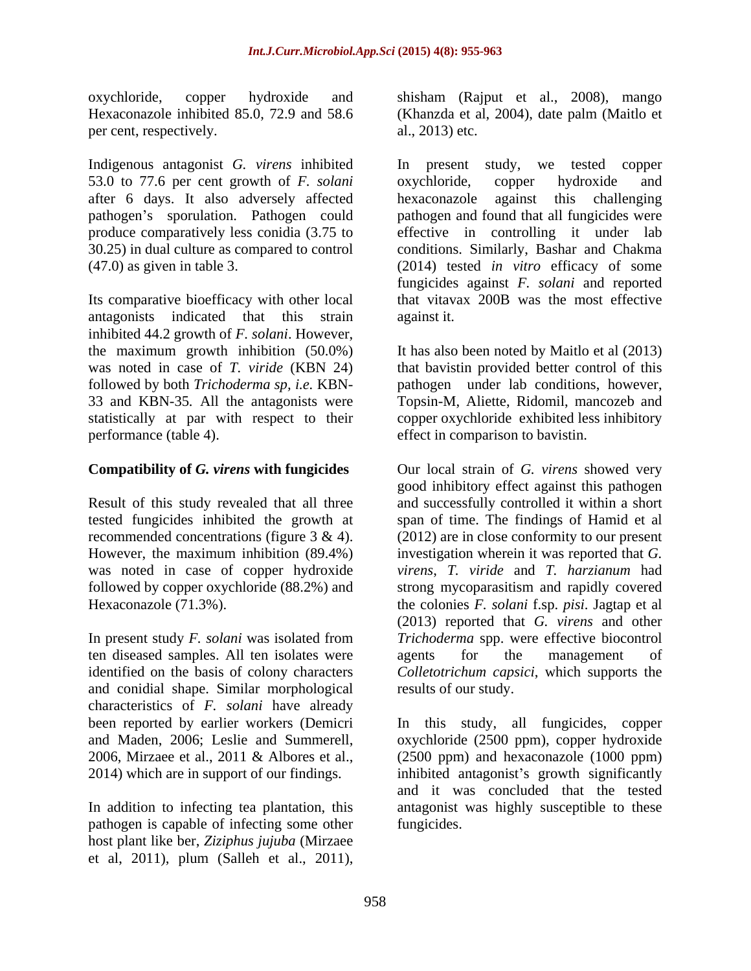per cent, respectively. al., 2013) etc.

Indigenous antagonist *G. virens* inhibited 53.0 to 77.6 per cent growth of *F. solani* after 6 days. It also adversely affected

antagonists indicated that this strain inhibited 44.2 growth of *F. solani*. However,

Result of this study revealed that all three

ten diseased samples. All ten isolates were agents for the management of and conidial shape. Similar morphological characteristics of *F. solani* have already

pathogen is capable of infecting some other host plant like ber, *Ziziphus jujuba* (Mirzaee et al.,  $2011$ ), plum (Salleh et al.,  $2011$ ),

oxychloride, copper hydroxide and shisham (Rajput et al., 2008), mango Hexaconazole inhibited 85.0, 72.9 and 58.6 (Khanzda et al, 2004), date palm (Maitlo et al., 2013) etc.

pathogen's sporulation. Pathogen could pathogen and found that all fungicides were produce comparatively less conidia (3.75 to effective in controlling it under lab 30.25) in dual culture as compared to control conditions. Similarly, Bashar and Chakma (47.0) as given in table 3. (2014) tested *in vitro* efficacy of some Its comparative bioefficacy with other local that vitavax 200B was the most effective In present study, we tested copper oxychloride, copper hydroxide and hexaconazole against this challenging fungicides against *F. solani* and reported against it.

the maximum growth inhibition (50.0%) It has also been noted by Maitlo et al (2013) was noted in case of *T. viride* (KBN 24) that bavistin provided better control of this followed by both *Trichoderma sp, i.e.* KBN- pathogen under lab conditions, however, 33 and KBN-35*.* All the antagonists were Topsin-M, Aliette, Ridomil, mancozeb and statistically at par with respect to their copper oxychloride exhibited less inhibitory performance (table 4). effect in comparison to bavistin.

**Compatibility of** *G. virens* **with fungicides** Our local strain of *G. virens* showed very tested fungicides inhibited the growth at span of time. The findings of Hamid et al recommended concentrations (figure  $3 \& 4$ ). (2012) are in close conformity to our present However, the maximum inhibition (89.4%) investigation wherein it was reported that *G.* was noted in case of copper hydroxide *virens*, *T.viride* and *T. harzianum* had followed by copper oxychloride (88.2%) and strong mycoparasitism and rapidly covered Hexaconazole (71.3%). the colonies *F. solani* f.sp. *pisi*. Jagtap et al In present study *F. solani* was isolated from *Trichoderma* spp. were effective biocontrol identified on the basis of colony characters *Colletotrichum capsici*, which supports the good inhibitory effect against this pathogen and successfully controlled it within a short (2013) reported that *G. virens* and other agents for the management of results of our study.

been reported by earlier workers (Demicri In this study, all fungicides, copper and Maden, 2006; Leslie and Summerell, oxychloride (2500 ppm), copper hydroxide 2006, Mirzaee et al., 2011 & Albores et al., (2500 ppm) and hexaconazole (1000 ppm) 2014) which are in support of our findings. This inhibited antagonist's growth significantly In addition to infecting tea plantation, this antagonist was highly susceptible to these and it was concluded that the tested fungicides.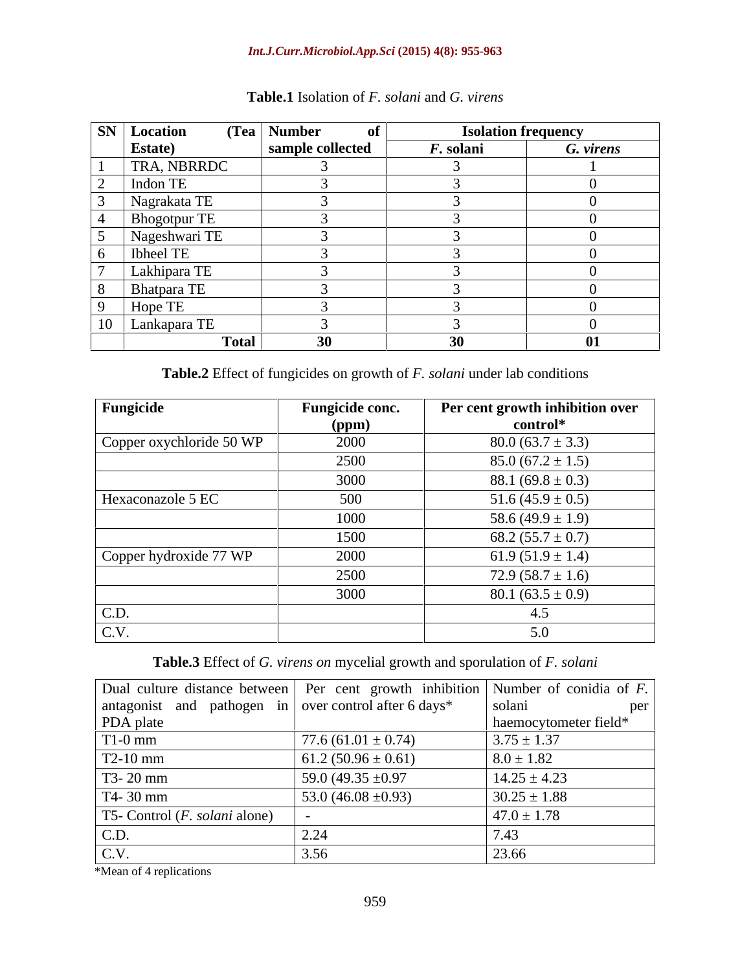#### *Int.J.Curr.Microbiol.App.Sci* **(2015) 4(8): 955-963**

| <b>SN</b> Location                                     | $(Tea \mid Number$<br>-of |           | <b>Isolation frequency</b> |  |
|--------------------------------------------------------|---------------------------|-----------|----------------------------|--|
| <b>Estate</b> )                                        | sample collected          | F. solani | G. virens                  |  |
| <b>TRA, NBRRDC</b>                                     |                           |           |                            |  |
| Indon TE<br>$\overline{\phantom{0}}$                   |                           |           |                            |  |
| Nagrakata TE                                           |                           |           |                            |  |
| <b>Bhogotpur TE</b>                                    |                           |           |                            |  |
| Nageshwari TE                                          |                           |           |                            |  |
| Ibheel TE<br>6                                         |                           |           |                            |  |
| Lakhipara TE                                           |                           |           |                            |  |
| 8<br>Bhatpara TE                                       |                           |           |                            |  |
| Hope TE<br>$\Omega$                                    |                           |           |                            |  |
| and the control of the control of<br>$10$ Lankapara TE |                           |           |                            |  |
|                                                        | Total<br>30               | 30        | 01                         |  |

# **Table.1** Isolation of *F. solani* and *G. virens*

**Table.2** Effect of fungicides on growth of *F. solani* under lab conditions

| Fungicide                | Fungicide conc. | Per cent growth inhibition over |
|--------------------------|-----------------|---------------------------------|
|                          | (ppm)           | control*                        |
| Copper oxychloride 50 WP | 2000            | $80.0(63.7 \pm 3.3)$            |
|                          | 2500            | $85.0(67.2 \pm 1.5)$            |
|                          | 3000            | 88.1 $(69.8 \pm 0.3)$           |
| Hexaconazole 5 EC        | 500             | 51.6 $(45.9 \pm 0.5)$           |
|                          | 1000            | 58.6 $(49.9 \pm 1.9)$           |
|                          | 1500            | 68.2 $(55.7 \pm 0.7)$           |
| Copper hydroxide 77 WP   | 2000            | 61.9 $(51.9 \pm 1.4)$           |
|                          | 2500            | $72.9(58.7 \pm 1.6)$            |
|                          | 3000            | 80.1 $(63.5 \pm 0.9)$           |
| C.D.                     |                 | 4.5                             |
| C.V.                     |                 | 5.0                             |

**Table.3** Effect of *G. virens on* mycelial growth and sporulation of *F. solani* 

| Dual culture distance between   Per cent growth inhibition   Number of conidia of $F$ . |                               |                       |
|-----------------------------------------------------------------------------------------|-------------------------------|-----------------------|
| antagonist and pathogen in over control after 6 days*                                   |                               | solani<br>per         |
| PDA plate                                                                               |                               | haemocytometer field* |
| $T1-0$ mm                                                                               | 77.6 $(61.01 \pm 0.74)$       | $3.75 \pm 1.37$       |
| T2-10 mm                                                                                | $61.2 (50.96 \pm 0.61)$       | $8.0 \pm 1.82$        |
| T3-20 mm                                                                                | $59.0(49.35 \pm 0.97)$        | $14.25 \pm 4.23$      |
| T4-30 mm                                                                                | $\frac{53.0}{46.08 \pm 0.93}$ | $30.25 \pm 1.88$      |
| T5- Control ( <i>F. solani</i> alone)                                                   |                               | $47.0 \pm 1.78$       |
| C.D.                                                                                    |                               |                       |
| $\bigcap$ $\overline{V}$<br>C. ۷.                                                       |                               | 23.66                 |

\*Mean of 4 replications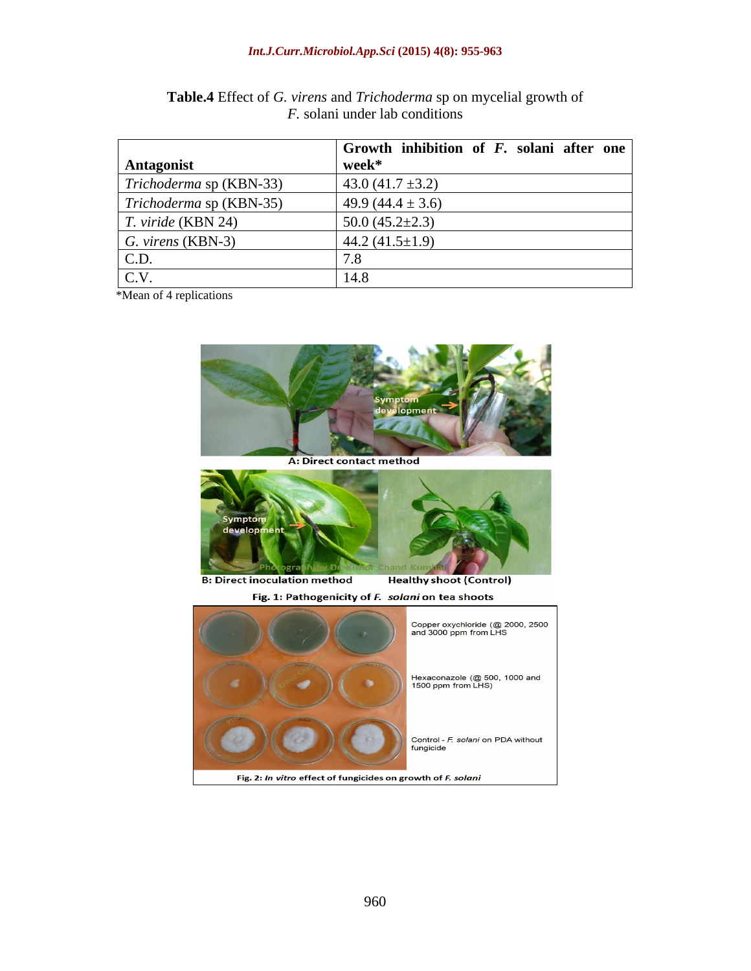#### *Int.J.Curr.Microbiol.App.Sci* **(2015) 4(8): 955-963**

|                                  | Growth inhibition of $F$ . solani after one |
|----------------------------------|---------------------------------------------|
| <b>Antagonist</b>                | week*                                       |
| $\mid$ Trichoderma sp (KBN-33)   | $43.0(41.7 \pm 3.2)$                        |
| Trichoderma sp (KBN-35)          | 49.9 $(44.4 \pm 3.6)$                       |
| <i>T. viride</i> (KBN 24)        | $50.0(45.2 \pm 2.3)$                        |
| $\mid G. \text{ virens (KBN-3)}$ | 44.2 $(41.5 \pm 1.9)$                       |
| $\vert$ C.D.                     |                                             |
| C.V.                             |                                             |

**Table.4** Effect of *G. virens* and *Trichoderma* sp on mycelial growth of *F.* solani under lab conditions

\*Mean of 4 replications

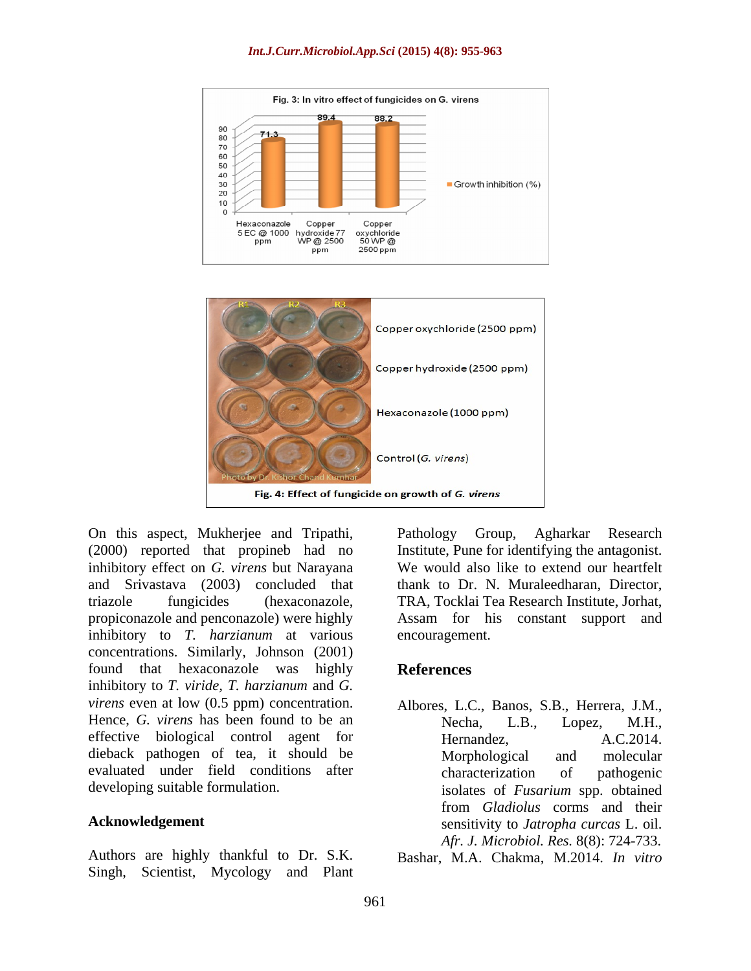#### *Int.J.Curr.Microbiol.App.Sci* **(2015) 4(8): 955-963**





On this aspect, Mukherjee and Tripathi, (2000) reported that propineb had no inhibitory effect on *G. virens* but Narayana and Srivastava (2003) concluded that propiconazole and penconazole) were highly inhibitory to *T. harzianum* at various concentrations. Similarly, Johnson (2001) found that hexaconazole was highly inhibitory to *T. viride, T. harzianum* and *G. virens* even at low  $(0.5$  ppm) concentration. Hence, *G. virens* has been found to be an Mecha, L.B., Lopez, M.H., effective biological control agent for Hernandez, A.C.2014. dieback pathogen of tea, it should be evaluated under field conditions after enable characterization of pathogenic

Authors are highly thankful to Dr. S.K. Bashar, M.A. Chakma, M.2014. *In vitro*Singh, Scientist, Mycology and Plant

triazole fungicides (hexaconazole, TRA, Tocklai Tea Research Institute, Jorhat, Pathology Group, Agharkar Research Institute, Pune for identifying the antagonist. We would also like to extend our heartfelt thank to Dr. N. Muraleedharan, Director, Assam for his constant support and encouragement.

#### **References**

developing suitable formulation. isolates of *Fusarium* spp. obtained **Acknowledgement** sensitivity to *Jatropha curcas* L. oil. Albores, L.C., Banos, S.B., Herrera, J.M., Necha, L.B., Lopez, M.H., Hernandez, A.C.2014. Morphological and molecular characterization of pathogenic from *Gladiolus* corms and their *Afr. J. Microbiol. Res.* 8(8): 724-733.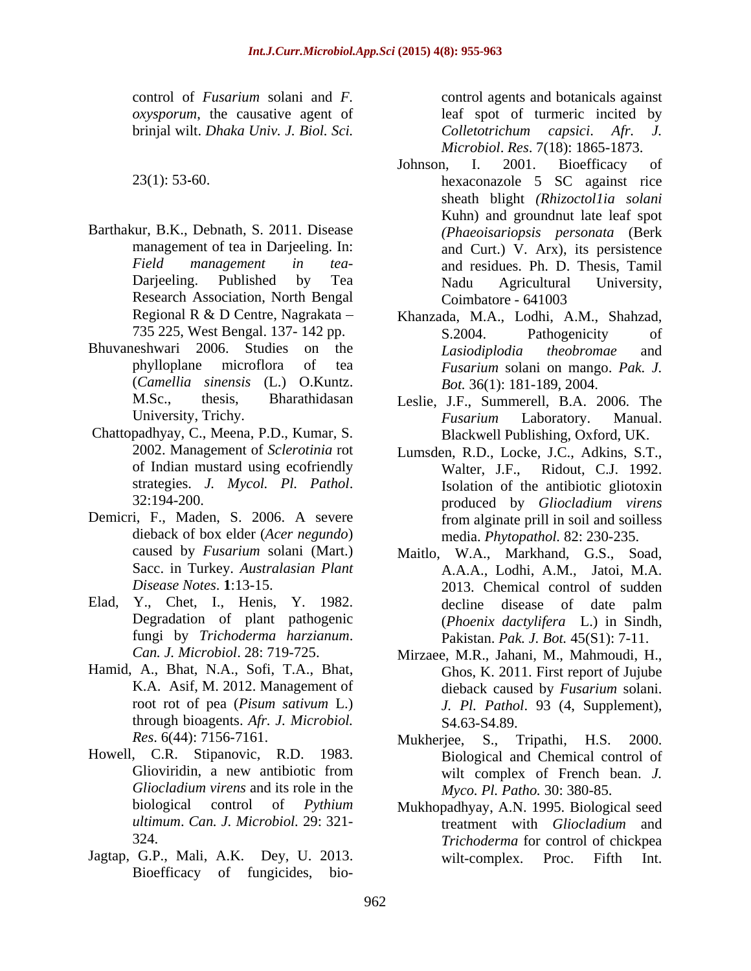- Barthakur, B.K., Debnath, S. 2011. Disease Research Association, North Bengal Coimbatore - 641003
- (*Camellia sinensis* (L.) O.Kuntz.
- of Indian mustard using ecofriendly
- 
- 
- Hamid, A., Bhat, N.A., Sofi, T.A., Bhat, through bioagents. *Afr. J. Microbiol.*
- Howell, C.R. Stipanovic, R.D. 1983.
- Jagtap, G.P., Mali, A.K. Dey, U. 2013. Bioefficacy of fungicides, bio-

control of *Fusarium* solani and *F.*  control agents and botanicals against *oxysporum*, the causative agent of leaf spot of turmeric incited by brinjal wilt. *Dhaka Univ. J. Biol. Sci. Colletotrichum capsici*. *Afr. J. Microbiol*. *Res*. 7(18): 1865-1873.

- 23(1): 53 60. hexaconazole 5 SC against rice management of tea in Darjeeling. In: and Curt.) V. Arx), its persistence *Field management in tea*- and residues. Ph. D. Thesis, Tamil Darjeeling. Published by Tea Johnson, I. 2001. Bioefficacy of sheath blight *(Rhizoctol1ia solani* Kuhn) and groundnut late leaf spot *(Phaeoisariopsis personata* (Berk Nadu Agricultural University, Coimbatore - 641003
- Regional R & D Centre, Nagrakata Khanzada, M.A., Lodhi, A.M., Shahzad, 735 225, West Bengal. 137- 142 pp. Bhuvaneshwari 2006. Studies on the *Lasiodiplodia theobromae* and phylloplane microflora of tea *Fusarium* solani on mango. *Pak. J.* S.2004. Pathogenicity of *Lasiodiplodia theobromae* and *Bot.* 36(1): 181-189, 2004.
- M.Sc., thesis, Bharathidasan Leslie, J.F., Summerell, B.A. 2006. The University, Trichy. *Fusarium* Laboratory. Manual.<br>Chattopadhyay, C., Meena, P.D., Kumar, S. Blackwell Publishing Oxford UK. *Fusarium* Laboratory. Manual. Blackwell Publishing, Oxford, UK.
- 2002. Management of *Sclerotinia* rot Lumsden, R.D., Locke, J.C., Adkins, S.T., strategies. *J. Mycol. Pl. Pathol*. 32:194-200. Isolation of the antibiotic gliotoxin Demicri, F., Maden, S. 2006. A severe from alginate prill in soil and soilless dieback of box elder (*Acer negundo*) media. *Phytopathol.* 82: 230-235. Ridout, C.J. 1992. produced by *Gliocladium virens* from alginate prill in soil and soilless
- caused by *Fusarium* solani (Mart.) Maitlo, W.A., Markhand, G.S., Soad, Sacc. in Turkey. *Australasian Plant* A.A.A., Lodhi, A.M., Jatoi, M.A. *Disease Notes*. **1**:13-15. 2013. Chemical control of sudden Elad, Y., Chet, I., Henis, Y. 1982. decline disease of date palm Degradation of plant pathogenic (*Phoenix dactylifera* L.) in Sindh, fungi by *Trichoderma harzianum*. Pakistan. *Pak. J. Bot.* 45(S1): 7-11. decline disease of date palm
	- *Can. J. Microbiol*. 28: 719-725. Mirzaee, M.R., Jahani, M., Mahmoudi, H., K.A. Asif, M. 2012. Management of dieback caused by *Fusarium* solani. root rot of pea (*Pisum sativum* L.) *J. Pl. Pathol*. 93 (4, Supplement), Ghos, K. 2011. First report of Jujube dieback caused by *Fusarium* solani. S4.63-S4.89.
	- *Res*. 6(44): 7156-7161. Mukherjee, S., Tripathi, H.S. 2000. Glioviridin, a new antibiotic from wilt complex of French bean. J. *Gliocladium virens* and its role in the Biological and Chemical control of wilt complex of French bean. *J. Myco. Pl. Patho.* 30: 380-85.
	- biological control of *Pythium* Mukhopadhyay, A.N. 1995. Biological seed *ultimum*. *Can. J. Microbiol.* 29: 321- treatment with *Gliocladium* and 324. *Trichoderma* for control of chickpea wilt-complex. Proc. Fifth Int.